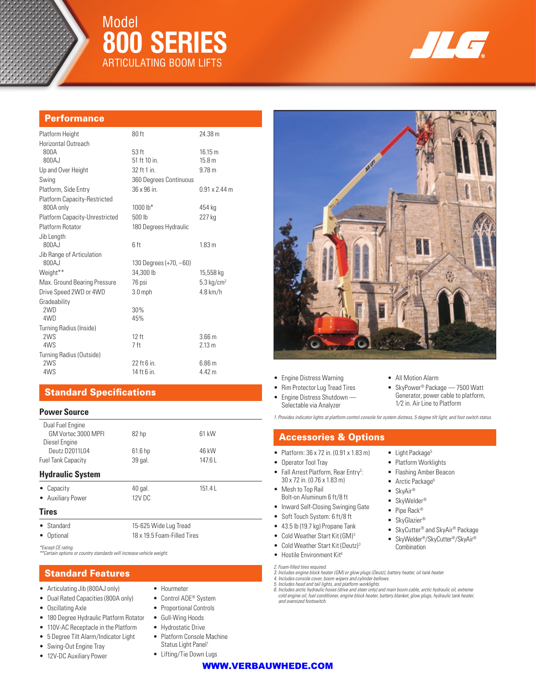# Model **800 Series** Articulating Boom Lifts



# **Performance**

| Platform Height                     | 80 ft                    | 24.38 m               |
|-------------------------------------|--------------------------|-----------------------|
| Horizontal Outreach                 |                          |                       |
| 800A                                | 53 <sub>ft</sub>         | 16.15 m               |
| 800AJ                               | 51 ft 10 in.             | 15.8 <sub>m</sub>     |
| Up and Over Height                  | 32 ft 1 in.              | 9.78 <sub>m</sub>     |
| Swing                               | 360 Degrees Continuous   |                       |
| Platform, Side Entry                | 36 x 96 in               | $0.91 \times 2.44$ m  |
| <b>Platform Capacity-Restricted</b> |                          |                       |
| 800A only                           | 1000 lb*                 | 454 kg                |
| Platform Capacity-Unrestricted      | 500 lb                   | 227 kg                |
| Platform Rotator                    | 180 Degrees Hydraulic    |                       |
| Jib Length                          |                          |                       |
| 800AJ                               | 6 ft                     | 1.83 m                |
| Jib Range of Articulation           |                          |                       |
| 800AJ                               | 130 Degrees $(+70, -60)$ |                       |
| Weight**                            | 34,300 lb                | 15,558 kg             |
| Max. Ground Bearing Pressure        | 76 psi                   | $5.3 \text{ kg/cm}^2$ |
| Drive Speed 2WD or 4WD              | $3.0$ mph                | $4.8$ km/h            |
| Gradeability                        |                          |                       |
| 2WD                                 | 30%                      |                       |
| 4WD                                 | 45%                      |                       |
| Turning Radius (Inside)             |                          |                       |
| 2WS                                 | 12 ft                    | 3.66 <sub>m</sub>     |
| 4WS                                 | 7 ft                     | 2.13 <sub>m</sub>     |
| Turning Radius (Outside)            |                          |                       |
| 2WS                                 | 22 ft 6 in.              | 6.86 <sub>m</sub>     |
| 4WS                                 | 14 ft 6 in.              | 4.42 m                |

# Standard Specifications

### **Power Source**

| Dual Fuel Engine<br>GM Vortec 3000 MPFI |                             | 61 kW  |  |
|-----------------------------------------|-----------------------------|--------|--|
| Diesel Engine                           | 82 hp                       |        |  |
| Deutz D2011L04                          | 61.6 hp                     | 46 kW  |  |
| <b>Fuel Tank Capacity</b>               | 39 gal.                     | 147.6L |  |
| <b>Hydraulic System</b>                 |                             |        |  |
| Capacity                                | 40 gal.                     | 151.4L |  |
| • Auxiliary Power                       | 12V DC                      |        |  |
| <b>Tires</b>                            |                             |        |  |
| Standard                                | 15-625 Wide Lug Tread       |        |  |
| Optional                                | 18 x 19.5 Foam-Filled Tires |        |  |

*\*Except CE rating.* 

*\*\*Certain options or country standards will increase vehicle weight.*

# Standard Features

- Articulating Jib (800AJ only)
- Dual Rated Capacities (800A only)
- Oscillating Axle
- 180 Degree Hydraulic Platform Rotator
- 110V-AC Receptacle in the Platform
- 5 Degree Tilt Alarm/Indicator Light
- Swing-Out Engine Tray
- 12V-DC Auxiliary Power
- Hourmeter
- Control ADE® System
- Proportional Controls
- Gull-Wing Hoods
- Hydrostatic Drive
- Platform Console Machine
- Status Light Panel<sup>1</sup>
- Lifting/Tie Down Lugs



- Engine Distress Warning
- Rim Protector Lug Tread Tires
- Engine Distress Shutdown —
- Selectable via Analyzer
- All Motion Alarm
- SkyPower<sup>®</sup> Package 7500 Watt Generator, power cable to platform, 1⁄2 in. Air Line to Platform

### Accessories & Options

- Platform: 36 x 72 in. (0.91 x 1.83 m)
- Operator Tool Tray
- Fall Arrest Platform, Rear Entry<sup>2</sup>: 30 x 72 in. (0.76 x 1.83 m)
- Mesh to Top Rail Bolt-on Aluminum 6 ft/8 ft
- 
- 
- 
- 
- 
- 
- 
- SkyAir® • SkyWelder®

• Light Package<sup>5</sup> • Platform Worklights

- 
- Pipe Rack®
- 
- 
- 
- *2. Foam-filled tires required. 3. Includes engine block heater (GM) or glow plugs (Deutz), battery heater, oil tank heater. 4. Includes console cover, boom wipers and cylinder bellows.*
- 
- *5. Includes head and tail lights, and platform worklights.*

*6. Includes arctic hydraulic hoses (drive and steer only) and main boom cable, arctic hydraulic oil, extreme cold engine oil, fuel conditioner, engine block heater, battery blanket, glow plugs, hydraulic tank heater, and oversized footswitch.*

WWW.VERBAUWHEDE.COM

- 
- -

*1. Provides indicator lights at platform control console for system distress, 5 degree tilt light, and foot switch status.*

- Flashing Amber Beacon • Arctic Package<sup>6</sup>
- Inward Self-Closing Swinging Gate • Soft Touch System: 6 ft/8 ft
	- 43.5 lb (19.7 kg) Propane Tank
	- Cold Weather Start Kit (GM)<sup>3</sup>
	- -
- 
- 
- -
	- Hostile Environment Kit4
	- Cold Weather Start Kit (Deutz)<sup>3</sup>
- SkyGlazier®
	- SkyCutter® and SkyAir® Package
	- SkyWelder®/SkyCutter®/SkyAir® **Combination**
	-
	-
	-